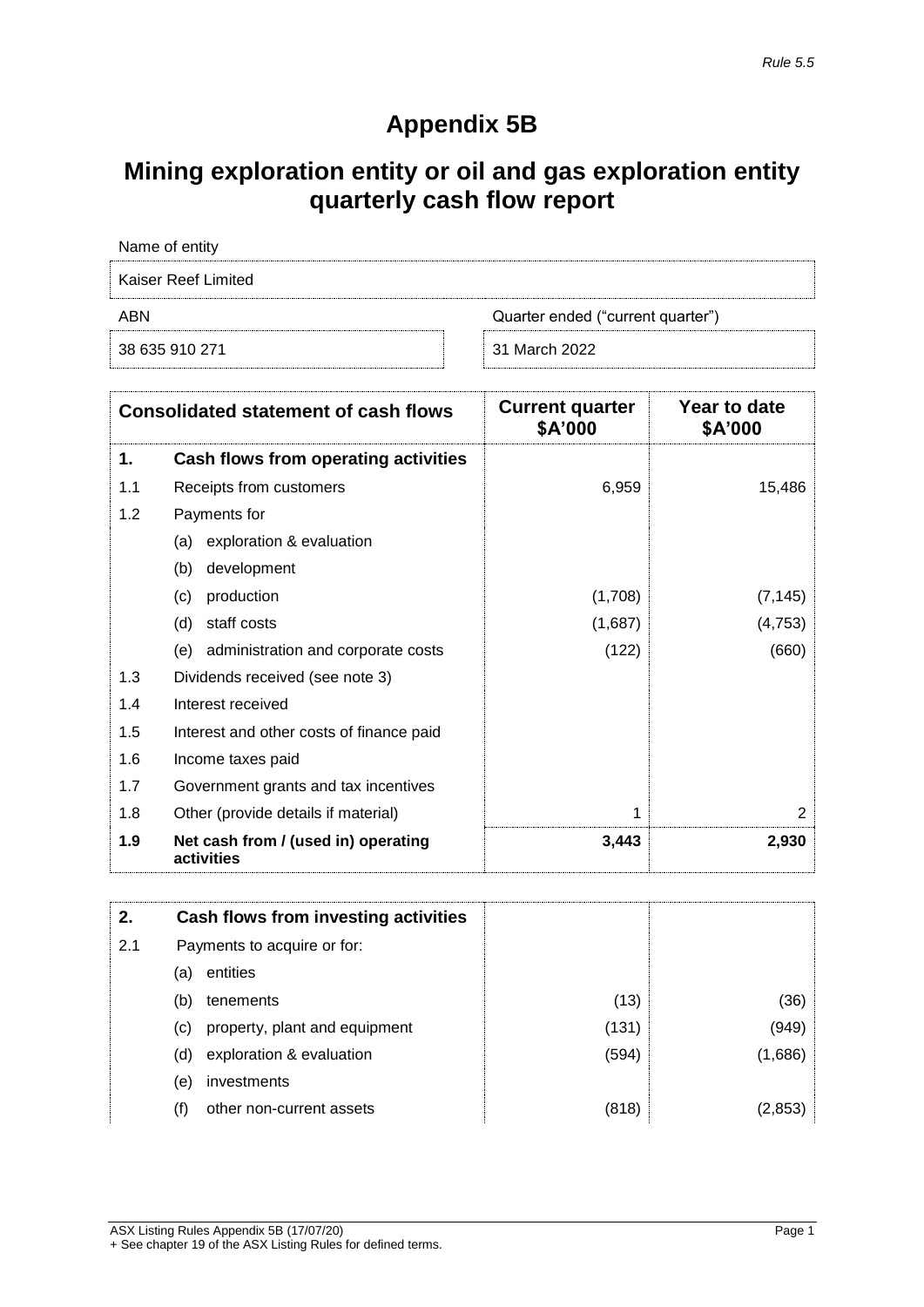## **Appendix 5B**

## **Mining exploration entity or oil and gas exploration entity quarterly cash flow report**

| Name of entity      |                                   |
|---------------------|-----------------------------------|
| Kaiser Reef Limited |                                   |
| ABN                 | Quarter ended ("current quarter") |
| 38 635 910 271      | 31 March 2022                     |

|     | <b>Consolidated statement of cash flows</b>       | <b>Current quarter</b><br>\$A'000 | Year to date<br>\$A'000 |
|-----|---------------------------------------------------|-----------------------------------|-------------------------|
| 1.  | Cash flows from operating activities              |                                   |                         |
| 1.1 | Receipts from customers                           | 6,959                             | 15,486                  |
| 1.2 | Payments for                                      |                                   |                         |
|     | exploration & evaluation<br>(a)                   |                                   |                         |
|     | development<br>(b)                                |                                   |                         |
|     | production<br>(c)                                 | (1,708)                           | (7, 145)                |
|     | staff costs<br>(d)                                | (1,687)                           | (4, 753)                |
|     | administration and corporate costs<br>(e)         | (122)                             | (660)                   |
| 1.3 | Dividends received (see note 3)                   |                                   |                         |
| 1.4 | Interest received                                 |                                   |                         |
| 1.5 | Interest and other costs of finance paid          |                                   |                         |
| 1.6 | Income taxes paid                                 |                                   |                         |
| 1.7 | Government grants and tax incentives              |                                   |                         |
| 1.8 | Other (provide details if material)               | 1                                 | 2                       |
| 1.9 | Net cash from / (used in) operating<br>activities | 3,443                             | 2,930                   |

| 2.  | Cash flows from investing activities |       |         |
|-----|--------------------------------------|-------|---------|
| 2.1 | Payments to acquire or for:          |       |         |
|     | entities<br>(a)                      |       |         |
|     | (b)<br>tenements                     | (13)  | (36)    |
|     | property, plant and equipment<br>(c) | (131) | (949)   |
|     | exploration & evaluation<br>(d)      | (594) | (1,686) |
|     | investments<br>(e)                   |       |         |
|     | other non-current assets<br>(f)      | (818) | (2.853) |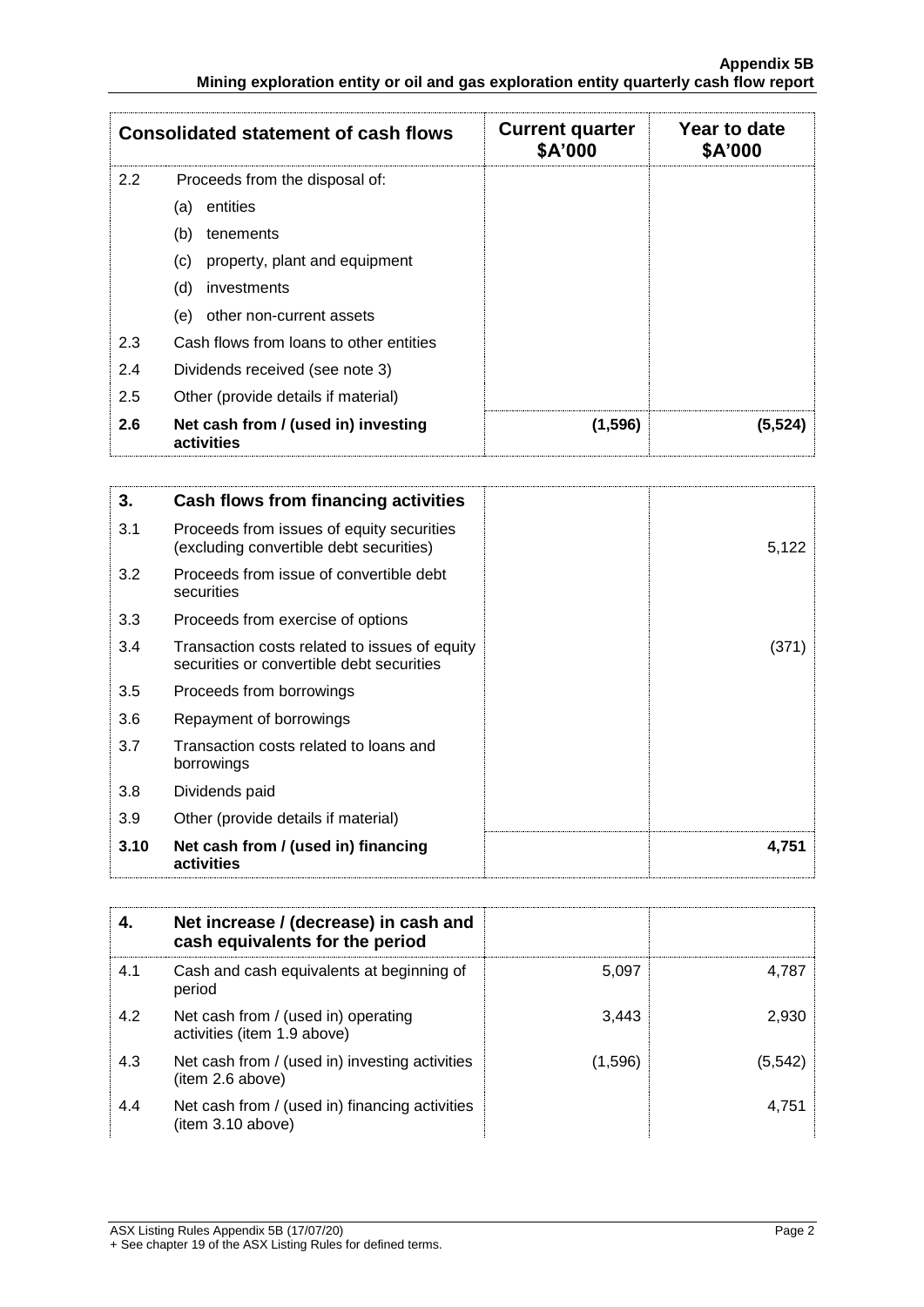|               | <b>Consolidated statement of cash flows</b>       | <b>Current quarter</b><br>\$A'000 | Year to date<br>\$A'000 |
|---------------|---------------------------------------------------|-----------------------------------|-------------------------|
| $2.2^{\circ}$ | Proceeds from the disposal of:                    |                                   |                         |
|               | entities<br>(a)                                   |                                   |                         |
|               | (b)<br>tenements                                  |                                   |                         |
|               | property, plant and equipment<br>(C)              |                                   |                         |
|               | (d)<br>investments                                |                                   |                         |
|               | other non-current assets<br>(e)                   |                                   |                         |
| 2.3           | Cash flows from loans to other entities           |                                   |                         |
| 2.4           | Dividends received (see note 3)                   |                                   |                         |
| 2.5           | Other (provide details if material)               |                                   |                         |
| 2.6           | Net cash from / (used in) investing<br>activities | (1, 596)                          | (5, 524)                |

| 3.   | Cash flows from financing activities                                                       |       |
|------|--------------------------------------------------------------------------------------------|-------|
| 3.1  | Proceeds from issues of equity securities<br>(excluding convertible debt securities)       | 5,122 |
| 3.2  | Proceeds from issue of convertible debt<br>securities                                      |       |
| 3.3  | Proceeds from exercise of options                                                          |       |
| 3.4  | Transaction costs related to issues of equity<br>securities or convertible debt securities | (371) |
| 3.5  | Proceeds from borrowings                                                                   |       |
| 3.6  | Repayment of borrowings                                                                    |       |
| 3.7  | Transaction costs related to loans and<br>borrowings                                       |       |
| 3.8  | Dividends paid                                                                             |       |
| 3.9  | Other (provide details if material)                                                        |       |
| 3.10 | Net cash from / (used in) financing<br>activities                                          | 4,751 |

|     | Net increase / (decrease) in cash and<br>cash equivalents for the period |         |         |
|-----|--------------------------------------------------------------------------|---------|---------|
| 4.1 | Cash and cash equivalents at beginning of<br>period                      | 5.097   | 4.787   |
| 4.2 | Net cash from / (used in) operating<br>activities (item 1.9 above)       | 3,443   | 2.930   |
| 4.3 | Net cash from / (used in) investing activities<br>(item 2.6 above)       | (1,596) | (5,542) |
| 4.4 | Net cash from / (used in) financing activities<br>item 3.10 above)       |         | 4.751   |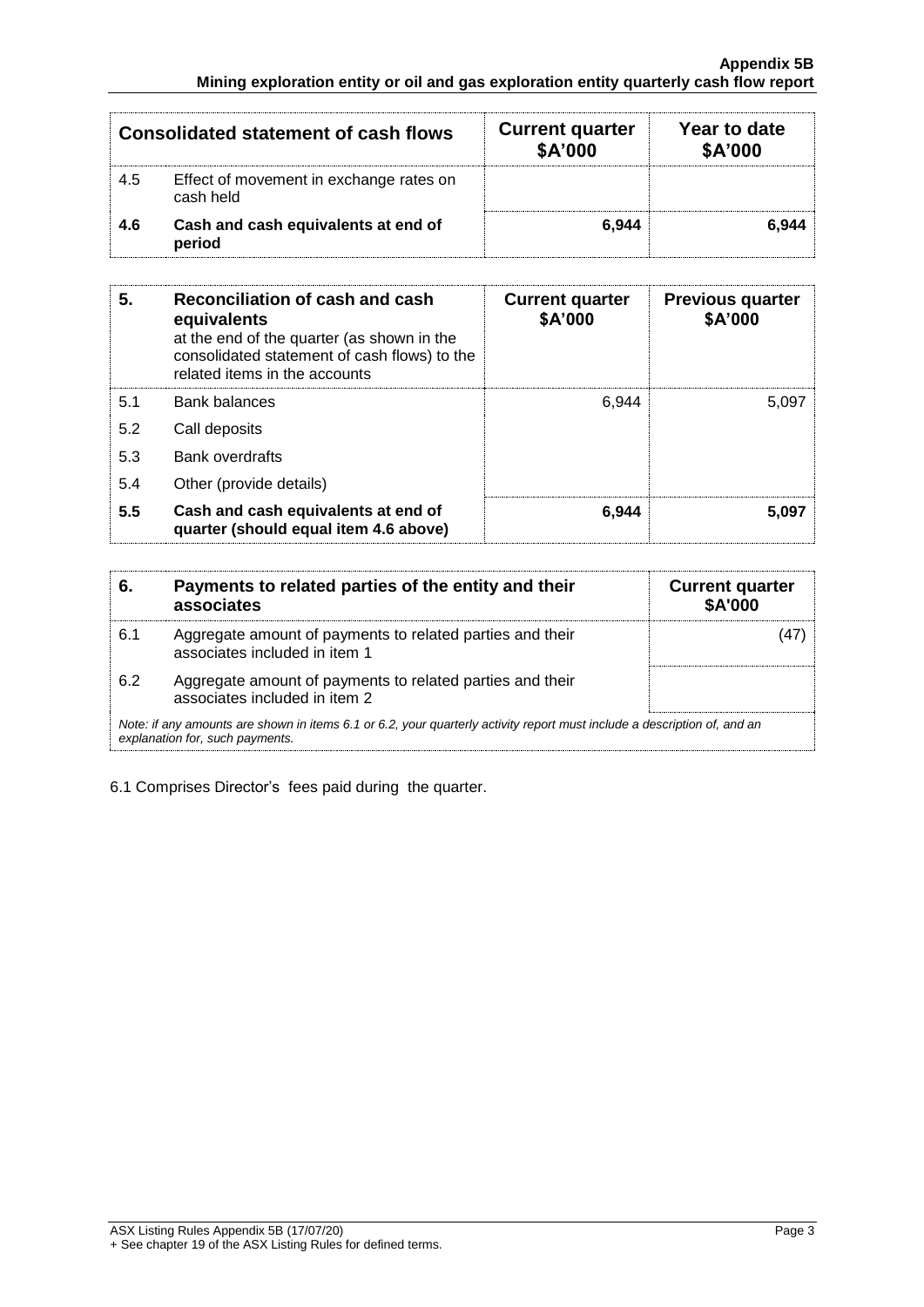| <b>Consolidated statement of cash flows</b> |                                                      | <b>Current quarter</b><br>\$A'000 | Year to date<br>\$A'000 |
|---------------------------------------------|------------------------------------------------------|-----------------------------------|-------------------------|
| 4.5                                         | Effect of movement in exchange rates on<br>cash held |                                   |                         |
| 4.6                                         | Cash and cash equivalents at end of<br>period        | 6.944                             | 6.944                   |

| 5.  | Reconciliation of cash and cash<br>equivalents<br>at the end of the quarter (as shown in the<br>consolidated statement of cash flows) to the<br>related items in the accounts | <b>Current quarter</b><br>\$A'000 | <b>Previous quarter</b><br>\$A'000 |
|-----|-------------------------------------------------------------------------------------------------------------------------------------------------------------------------------|-----------------------------------|------------------------------------|
| 5.1 | <b>Bank balances</b>                                                                                                                                                          | 6.944                             | 5,097                              |
| 5.2 | Call deposits                                                                                                                                                                 |                                   |                                    |
| 5.3 | Bank overdrafts                                                                                                                                                               |                                   |                                    |
| 5.4 | Other (provide details)                                                                                                                                                       |                                   |                                    |
| 5.5 | Cash and cash equivalents at end of<br>quarter (should equal item 4.6 above)                                                                                                  | 6.944                             | 5,097                              |

| 6.  | Payments to related parties of the entity and their<br>associates                                                                                           | <b>Current quarter</b><br><b>\$A'000</b> |
|-----|-------------------------------------------------------------------------------------------------------------------------------------------------------------|------------------------------------------|
| 6.1 | Aggregate amount of payments to related parties and their<br>associates included in item 1                                                                  |                                          |
| 6.2 | Aggregate amount of payments to related parties and their<br>associates included in item 2                                                                  |                                          |
|     | Note: if any amounts are shown in items 6.1 or 6.2, your quarterly activity report must include a description of, and an<br>explanation for, such payments. |                                          |

6.1 Comprises Director's fees paid during the quarter.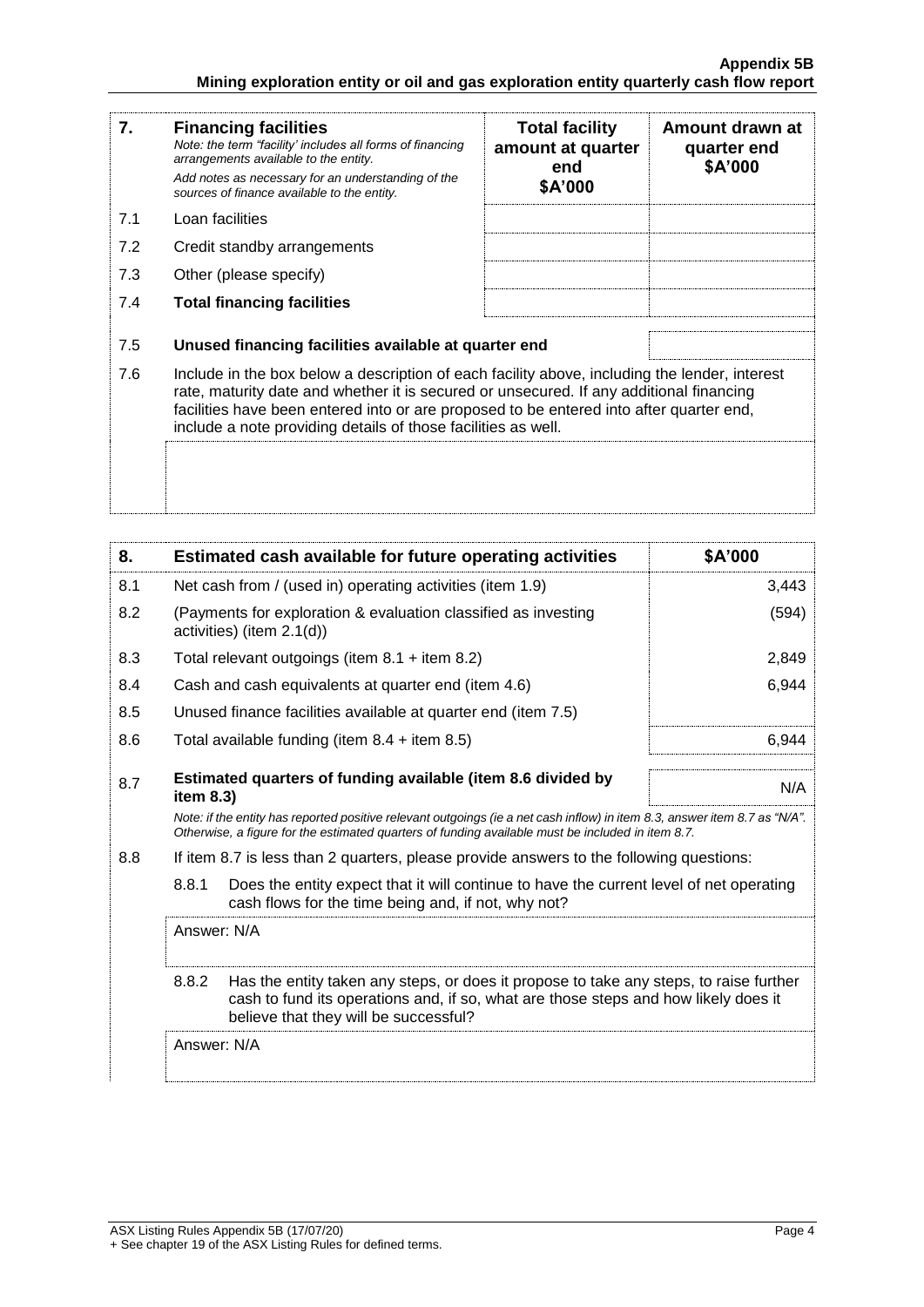| 7.  | <b>Financing facilities</b><br>Note: the term "facility' includes all forms of financing<br>arrangements available to the entity.<br>Add notes as necessary for an understanding of the<br>sources of finance available to the entity.                                                                                                               | <b>Total facility</b><br>amount at quarter<br>end<br>\$A'000 | Amount drawn at<br>quarter end<br>\$A'000 |
|-----|------------------------------------------------------------------------------------------------------------------------------------------------------------------------------------------------------------------------------------------------------------------------------------------------------------------------------------------------------|--------------------------------------------------------------|-------------------------------------------|
| 7.1 | Loan facilities                                                                                                                                                                                                                                                                                                                                      |                                                              |                                           |
| 7.2 | Credit standby arrangements                                                                                                                                                                                                                                                                                                                          |                                                              |                                           |
| 7.3 | Other (please specify)                                                                                                                                                                                                                                                                                                                               |                                                              |                                           |
| 7.4 | <b>Total financing facilities</b>                                                                                                                                                                                                                                                                                                                    |                                                              |                                           |
| 7.5 | Unused financing facilities available at quarter end                                                                                                                                                                                                                                                                                                 |                                                              |                                           |
| 7.6 | Include in the box below a description of each facility above, including the lender, interest<br>rate, maturity date and whether it is secured or unsecured. If any additional financing<br>facilities have been entered into or are proposed to be entered into after quarter end,<br>include a note providing details of those facilities as well. |                                                              |                                           |
|     |                                                                                                                                                                                                                                                                                                                                                      |                                                              |                                           |

| 8.  |                                                           | Estimated cash available for future operating activities                                                                                                                                                                        | \$A'000 |
|-----|-----------------------------------------------------------|---------------------------------------------------------------------------------------------------------------------------------------------------------------------------------------------------------------------------------|---------|
| 8.1 | Net cash from / (used in) operating activities (item 1.9) |                                                                                                                                                                                                                                 | 3,443   |
| 8.2 |                                                           | (Payments for exploration & evaluation classified as investing<br>activities) (item $2.1(d)$ )                                                                                                                                  | (594)   |
| 8.3 |                                                           | Total relevant outgoings (item $8.1 +$ item $8.2$ )                                                                                                                                                                             | 2,849   |
| 8.4 |                                                           | Cash and cash equivalents at quarter end (item 4.6)                                                                                                                                                                             | 6,944   |
| 8.5 |                                                           | Unused finance facilities available at quarter end (item 7.5)                                                                                                                                                                   |         |
| 8.6 |                                                           | Total available funding (item $8.4 +$ item $8.5$ )                                                                                                                                                                              | 6.944   |
| 8.7 | item 8.3)                                                 | Estimated quarters of funding available (item 8.6 divided by                                                                                                                                                                    | N/A     |
|     |                                                           | Note: if the entity has reported positive relevant outgoings (ie a net cash inflow) in item 8.3, answer item 8.7 as "N/A".<br>Otherwise, a figure for the estimated quarters of funding available must be included in item 8.7. |         |
| 8.8 |                                                           | If item 8.7 is less than 2 quarters, please provide answers to the following questions:                                                                                                                                         |         |
|     | 8.8.1                                                     | Does the entity expect that it will continue to have the current level of net operating<br>cash flows for the time being and, if not, why not?                                                                                  |         |
|     | Answer: N/A                                               |                                                                                                                                                                                                                                 |         |
|     | 8.8.2                                                     | Has the entity taken any steps, or does it propose to take any steps, to raise further<br>cash to fund its operations and, if so, what are those steps and how likely does it<br>believe that they will be successful?          |         |
|     | Answer: N/A                                               |                                                                                                                                                                                                                                 |         |
|     |                                                           |                                                                                                                                                                                                                                 |         |